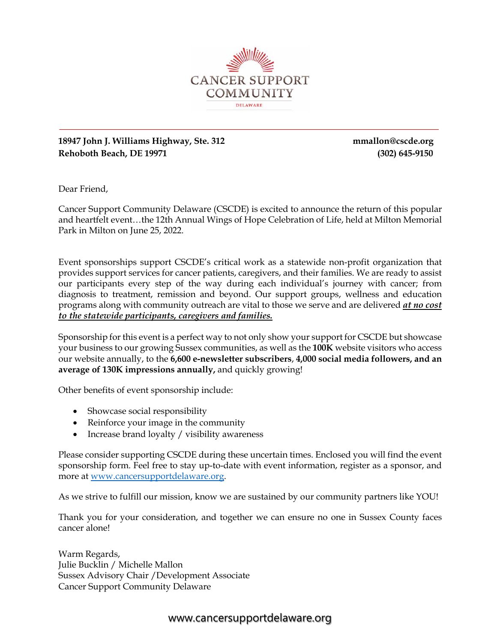

#### **18947 John J. Williams Highway, Ste. 312 mmallon@cscde.org Rehoboth Beach, DE 19971 (302) 645-9150**

Dear Friend,

Cancer Support Community Delaware (CSCDE) is excited to announce the return of this popular and heartfelt event…the 12th Annual Wings of Hope Celebration of Life, held at Milton Memorial Park in Milton on June 25, 2022.

Event sponsorships support CSCDE's critical work as a statewide non-profit organization that provides support services for cancer patients, caregivers, and their families. We are ready to assist our participants every step of the way during each individual's journey with cancer; from diagnosis to treatment, remission and beyond. Our support groups, wellness and education programs along with community outreach are vital to those we serve and are delivered *at no cost to the statewide participants, caregivers and families.* 

Sponsorship for this event is a perfect way to not only show your support for CSCDE but showcase your business to our growing Sussex communities, as well as the **100K** website visitors who access our website annually, to the **6,600 e-newsletter subscribers**, **4,000 social media followers, and an average of 130K impressions annually,** and quickly growing!

Other benefits of event sponsorship include:

- Showcase social responsibility
- Reinforce your image in the community
- Increase brand loyalty / visibility awareness

Please consider supporting CSCDE during these uncertain times. Enclosed you will find the event sponsorship form. Feel free to stay up-to-date with event information, register as a sponsor, and more at www.cancersupportdelaware.org.

As we strive to fulfill our mission, know we are sustained by our community partners like YOU!

Thank you for your consideration, and together we can ensure no one in Sussex County faces cancer alone!

Warm Regards, Julie Bucklin / Michelle Mallon Sussex Advisory Chair /Development Associate Cancer Support Community Delaware

#### www.cancersupportdelaware.org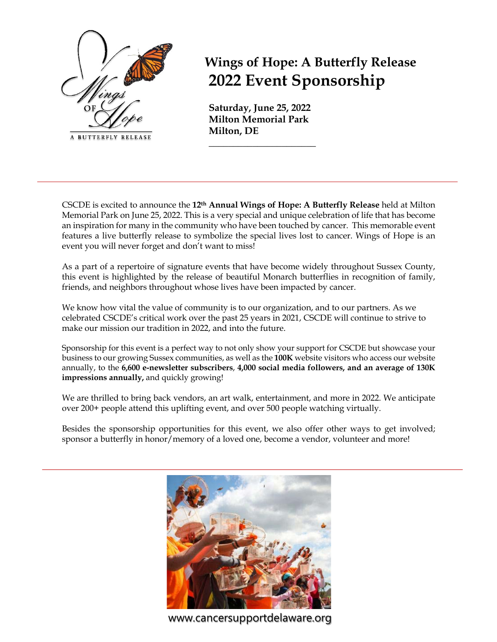

**Wings of Hope: A Butterfly Release 2022 Event Sponsorship**

**Saturday, June 25, 2022 Milton Memorial Park Milton, DE** 

**\_\_\_\_\_\_\_\_\_\_\_\_\_\_\_\_\_\_\_\_\_\_**

CSCDE is excited to announce the **12th Annual Wings of Hope: A Butterfly Release** held at Milton Memorial Park on June 25, 2022. This is a very special and unique celebration of life that has become an inspiration for many in the community who have been touched by cancer. This memorable event features a live butterfly release to symbolize the special lives lost to cancer. Wings of Hope is an event you will never forget and don't want to miss!

As a part of a repertoire of signature events that have become widely throughout Sussex County, this event is highlighted by the release of beautiful Monarch butterflies in recognition of family, friends, and neighbors throughout whose lives have been impacted by cancer.

We know how vital the value of community is to our organization, and to our partners. As we celebrated CSCDE's critical work over the past 25 years in 2021, CSCDE will continue to strive to make our mission our tradition in 2022, and into the future.

Sponsorship for this event is a perfect way to not only show your support for CSCDE but showcase your business to our growing Sussex communities, as well as the **100K** website visitors who access our website annually, to the **6,600 e-newsletter subscribers**, **4,000 social media followers, and an average of 130K impressions annually,** and quickly growing!

We are thrilled to bring back vendors, an art walk, entertainment, and more in 2022. We anticipate over 200+ people attend this uplifting event, and over 500 people watching virtually.

Besides the sponsorship opportunities for this event, we also offer other ways to get involved; sponsor a butterfly in honor/memory of a loved one, become a vendor, volunteer and more!



www.cancersupportdelaware.org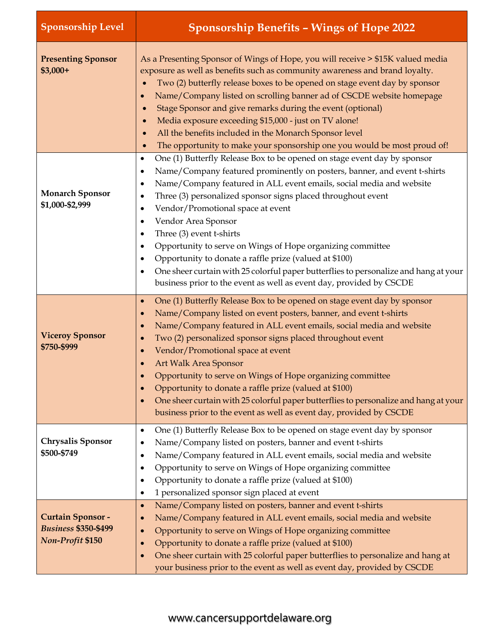| <b>Sponsorship Level</b>                                                           | <b>Sponsorship Benefits - Wings of Hope 2022</b>                                                                                                                                                                                                                                                                                                                                                                                                                                                                                                                                                                                                                                                                                                                                             |
|------------------------------------------------------------------------------------|----------------------------------------------------------------------------------------------------------------------------------------------------------------------------------------------------------------------------------------------------------------------------------------------------------------------------------------------------------------------------------------------------------------------------------------------------------------------------------------------------------------------------------------------------------------------------------------------------------------------------------------------------------------------------------------------------------------------------------------------------------------------------------------------|
| <b>Presenting Sponsor</b><br>$$3,000+$                                             | As a Presenting Sponsor of Wings of Hope, you will receive > \$15K valued media<br>exposure as well as benefits such as community awareness and brand loyalty.<br>Two (2) butterfly release boxes to be opened on stage event day by sponsor<br>Name/Company listed on scrolling banner ad of CSCDE website homepage<br>Stage Sponsor and give remarks during the event (optional)<br>Media exposure exceeding \$15,000 - just on TV alone!<br>All the benefits included in the Monarch Sponsor level<br>The opportunity to make your sponsorship one you would be most proud of!                                                                                                                                                                                                            |
| <b>Monarch Sponsor</b><br>\$1,000-\$2,999                                          | One (1) Butterfly Release Box to be opened on stage event day by sponsor<br>$\bullet$<br>Name/Company featured prominently on posters, banner, and event t-shirts<br>$\bullet$<br>Name/Company featured in ALL event emails, social media and website<br>$\bullet$<br>Three (3) personalized sponsor signs placed throughout event<br>٠<br>Vendor/Promotional space at event<br>$\bullet$<br>Vendor Area Sponsor<br>$\bullet$<br>Three (3) event t-shirts<br>$\bullet$<br>Opportunity to serve on Wings of Hope organizing committee<br>$\bullet$<br>Opportunity to donate a raffle prize (valued at \$100)<br>$\bullet$<br>One sheer curtain with 25 colorful paper butterflies to personalize and hang at your<br>٠<br>business prior to the event as well as event day, provided by CSCDE |
| <b>Viceroy Sponsor</b><br>\$750-\$999                                              | One (1) Butterfly Release Box to be opened on stage event day by sponsor<br>$\bullet$<br>Name/Company listed on event posters, banner, and event t-shirts<br>$\bullet$<br>Name/Company featured in ALL event emails, social media and website<br>$\bullet$<br>Two (2) personalized sponsor signs placed throughout event<br>$\bullet$<br>Vendor/Promotional space at event<br>$\bullet$<br><b>Art Walk Area Sponsor</b><br>Opportunity to serve on Wings of Hope organizing committee<br>Opportunity to donate a raffle prize (valued at \$100)<br>$\bullet$<br>One sheer curtain with 25 colorful paper butterflies to personalize and hang at your<br>$\bullet$<br>business prior to the event as well as event day, provided by CSCDE                                                     |
| <b>Chrysalis Sponsor</b><br>\$500-\$749                                            | One (1) Butterfly Release Box to be opened on stage event day by sponsor<br>$\bullet$<br>Name/Company listed on posters, banner and event t-shirts<br>$\bullet$<br>Name/Company featured in ALL event emails, social media and website<br>٠<br>Opportunity to serve on Wings of Hope organizing committee<br>$\bullet$<br>Opportunity to donate a raffle prize (valued at \$100)<br>$\bullet$<br>1 personalized sponsor sign placed at event<br>$\bullet$                                                                                                                                                                                                                                                                                                                                    |
| <b>Curtain Sponsor -</b><br><b>Business \$350-\$499</b><br><b>Non-Profit \$150</b> | Name/Company listed on posters, banner and event t-shirts<br>$\bullet$<br>Name/Company featured in ALL event emails, social media and website<br>$\bullet$<br>Opportunity to serve on Wings of Hope organizing committee<br>$\bullet$<br>Opportunity to donate a raffle prize (valued at \$100)<br>$\bullet$<br>One sheer curtain with 25 colorful paper butterflies to personalize and hang at<br>$\bullet$<br>your business prior to the event as well as event day, provided by CSCDE                                                                                                                                                                                                                                                                                                     |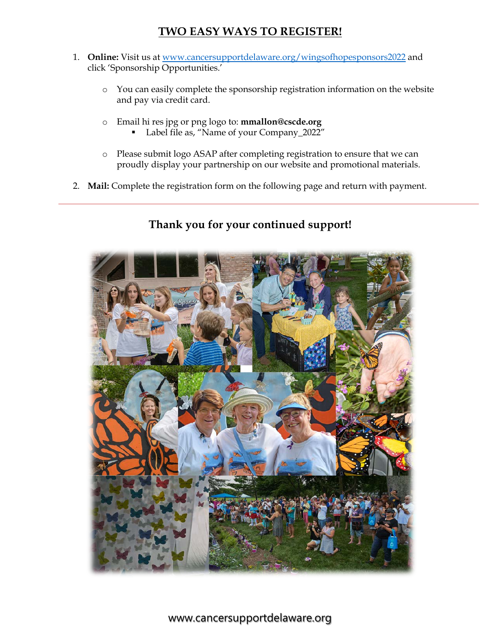### **TWO EASY WAYS TO REGISTER!**

- 1. **Online:** Visit us at www.cancersupportdelaware.org/wingsofhopesponsors2022 and click 'Sponsorship Opportunities.'
	- o You can easily complete the sponsorship registration information on the website and pay via credit card.
	- o Email hi res jpg or png logo to: **mmallon@cscde.org** § Label file as, "Name of your Company\_2022"
	- o Please submit logo ASAP after completing registration to ensure that we can proudly display your partnership on our website and promotional materials.
- 2. **Mail:** Complete the registration form on the following page and return with payment.

## **Thank you for your continued support!**